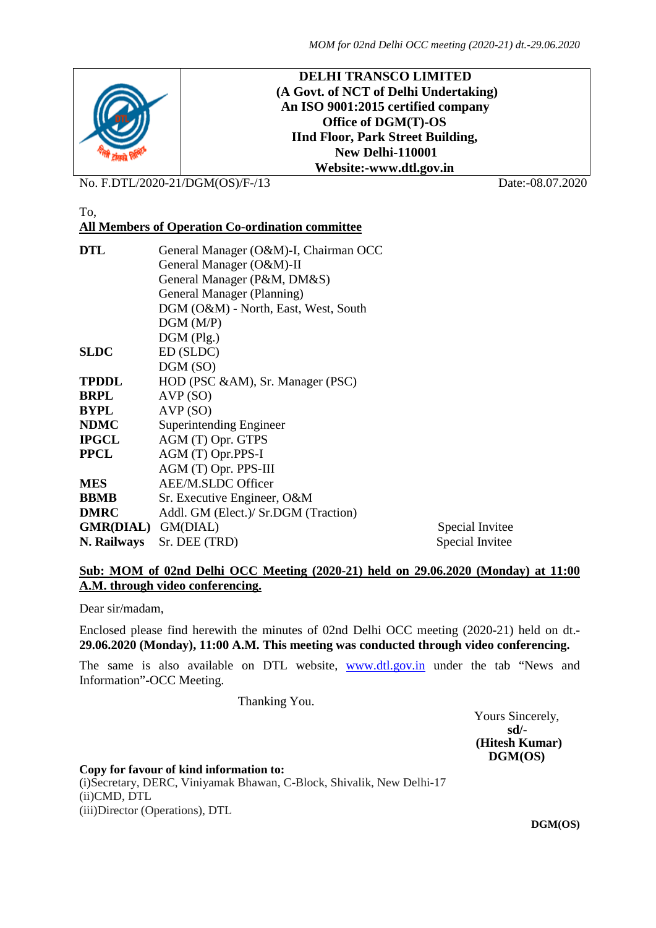

No. F.DTL/2020-21/DGM(OS)/F-/13 Date:-08.07.2020

### To,

## **All Members of Operation Co-ordination committee**

| General Manager (O&M)-I, Chairman OCC |                 |
|---------------------------------------|-----------------|
| General Manager (O&M)-II              |                 |
| General Manager (P&M, DM&S)           |                 |
| General Manager (Planning)            |                 |
| DGM (O&M) - North, East, West, South  |                 |
| DGM(M/P)                              |                 |
| $DGM$ (Plg.)                          |                 |
| ED (SLDC)                             |                 |
| DGM (SO)                              |                 |
| HOD (PSC &AM), Sr. Manager (PSC)      |                 |
| AVP(SO)                               |                 |
| AVP(SO)                               |                 |
| Superintending Engineer               |                 |
| AGM (T) Opr. GTPS                     |                 |
| AGM (T) Opr.PPS-I                     |                 |
| AGM (T) Opr. PPS-III                  |                 |
| AEE/M.SLDC Officer                    |                 |
| Sr. Executive Engineer, O&M           |                 |
| Addl. GM (Elect.)/ Sr.DGM (Traction)  |                 |
| GMR(DIAL) GM(DIAL)                    | Special Invitee |
| Sr. DEE (TRD)                         | Special Invitee |
|                                       |                 |

#### **Sub: MOM of 02nd Delhi OCC Meeting (2020-21) held on 29.06.2020 (Monday) at 11:00 A.M. through video conferencing.**

Dear sir/madam,

Enclosed please find herewith the minutes of 02nd Delhi OCC meeting (2020-21) held on dt.- **29.06.2020 (Monday), 11:00 A.M. This meeting was conducted through video conferencing.**

The same is also available on DTL website, **[www.dtl.gov.in](http://www.dtl.gov.in/)** under the tab "News and Information"-OCC Meeting.

Thanking You.

Yours Sincerely,  **sd/- (Hitesh Kumar) DGM(OS)**

**Copy for favour of kind information to:** (i)Secretary, DERC, Viniyamak Bhawan, C-Block, Shivalik, New Delhi-17 (ii)CMD, DTL (iii)Director (Operations), DTL

 **DGM(OS)**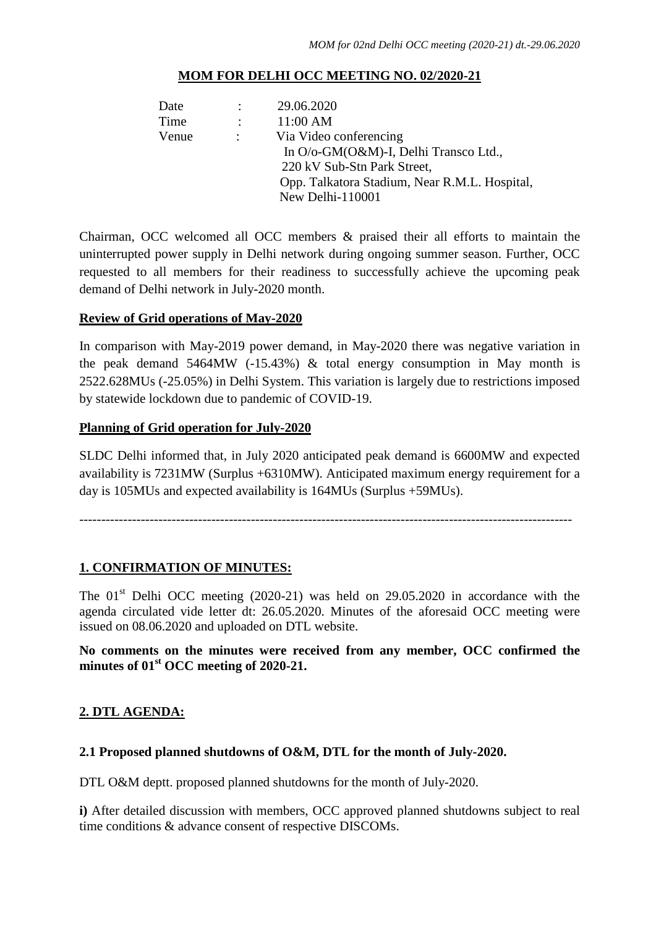### **MOM FOR DELHI OCC MEETING NO. 02/2020-21**

| Date  |                   | 29.06.2020                                    |
|-------|-------------------|-----------------------------------------------|
| Time  | $\sim$ 100 $\sim$ | 11:00 AM                                      |
| Venue | $\sim 100$        | Via Video conferencing                        |
|       |                   | In O/o-GM(O&M)-I, Delhi Transco Ltd.,         |
|       |                   | 220 kV Sub-Stn Park Street,                   |
|       |                   | Opp. Talkatora Stadium, Near R.M.L. Hospital, |
|       |                   | New Delhi-110001                              |

Chairman, OCC welcomed all OCC members & praised their all efforts to maintain the uninterrupted power supply in Delhi network during ongoing summer season. Further, OCC requested to all members for their readiness to successfully achieve the upcoming peak demand of Delhi network in July-2020 month.

### **Review of Grid operations of May-2020**

In comparison with May-2019 power demand, in May-2020 there was negative variation in the peak demand 5464MW (-15.43%) & total energy consumption in May month is 2522.628MUs (-25.05%) in Delhi System. This variation is largely due to restrictions imposed by statewide lockdown due to pandemic of COVID-19.

### **Planning of Grid operation for July-2020**

SLDC Delhi informed that, in July 2020 anticipated peak demand is 6600MW and expected availability is 7231MW (Surplus +6310MW). Anticipated maximum energy requirement for a day is 105MUs and expected availability is 164MUs (Surplus +59MUs).

----------------------------------------------------------------------------------------------------------------

### **1. CONFIRMATION OF MINUTES:**

The  $01<sup>st</sup>$  Delhi OCC meeting (2020-21) was held on 29.05.2020 in accordance with the agenda circulated vide letter dt: 26.05.2020. Minutes of the aforesaid OCC meeting were issued on 08.06.2020 and uploaded on DTL website.

## **No comments on the minutes were received from any member, OCC confirmed the minutes of 01st OCC meeting of 2020-21.**

### **2. DTL AGENDA:**

### **2.1 Proposed planned shutdowns of O&M, DTL for the month of July-2020.**

DTL O&M deptt. proposed planned shutdowns for the month of July-2020.

**i)** After detailed discussion with members, OCC approved planned shutdowns subject to real time conditions & advance consent of respective DISCOMs.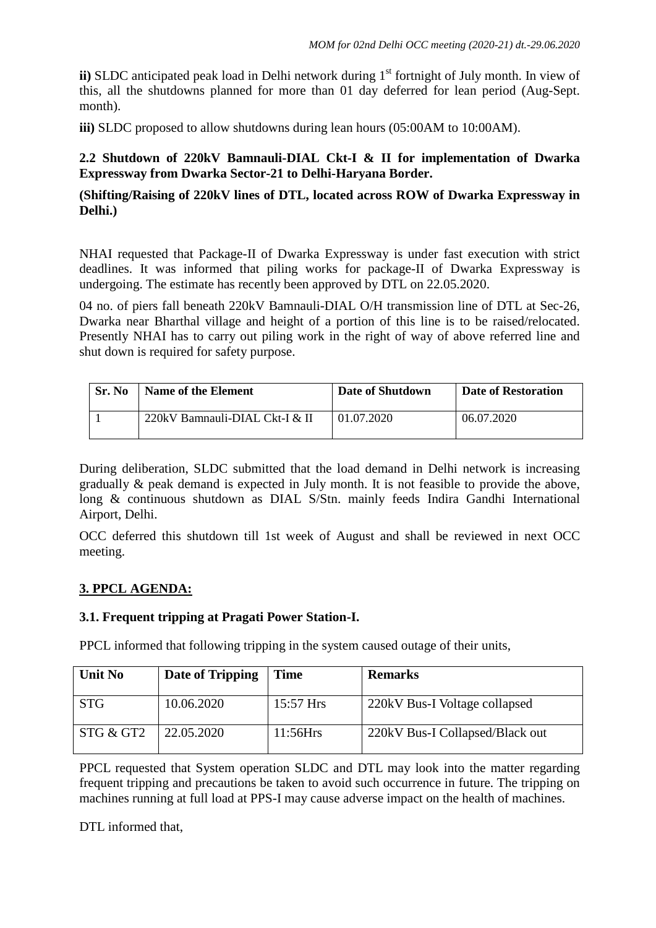**ii**) SLDC anticipated peak load in Delhi network during 1<sup>st</sup> fortnight of July month. In view of this, all the shutdowns planned for more than 01 day deferred for lean period (Aug-Sept. month).

**iii**) SLDC proposed to allow shutdowns during lean hours (05:00AM to 10:00AM).

## **2.2 Shutdown of 220kV Bamnauli-DIAL Ckt-I & II for implementation of Dwarka Expressway from Dwarka Sector-21 to Delhi-Haryana Border.**

### **(Shifting/Raising of 220kV lines of DTL, located across ROW of Dwarka Expressway in Delhi.)**

NHAI requested that Package-II of Dwarka Expressway is under fast execution with strict deadlines. It was informed that piling works for package-II of Dwarka Expressway is undergoing. The estimate has recently been approved by DTL on 22.05.2020.

04 no. of piers fall beneath 220kV Bamnauli-DIAL O/H transmission line of DTL at Sec-26, Dwarka near Bharthal village and height of a portion of this line is to be raised/relocated. Presently NHAI has to carry out piling work in the right of way of above referred line and shut down is required for safety purpose.

| Sr. No | Name of the Element            | Date of Shutdown | <b>Date of Restoration</b> |
|--------|--------------------------------|------------------|----------------------------|
|        | 220kV Bamnauli-DIAL Ckt-I & II | 01.07.2020       | 06.07.2020                 |

During deliberation, SLDC submitted that the load demand in Delhi network is increasing gradually & peak demand is expected in July month. It is not feasible to provide the above, long & continuous shutdown as DIAL S/Stn. mainly feeds Indira Gandhi International Airport, Delhi.

OCC deferred this shutdown till 1st week of August and shall be reviewed in next OCC meeting.

## **3. PPCL AGENDA:**

## **3.1. Frequent tripping at Pragati Power Station-I.**

PPCL informed that following tripping in the system caused outage of their units,

| <b>Unit No</b> | Date of Tripping | Time      | <b>Remarks</b>                  |
|----------------|------------------|-----------|---------------------------------|
| <b>STG</b>     | 10.06.2020       | 15:57 Hrs | 220kV Bus-I Voltage collapsed   |
| STG & GT2      | 22.05.2020       | 11:56Hrs  | 220kV Bus-I Collapsed/Black out |

PPCL requested that System operation SLDC and DTL may look into the matter regarding frequent tripping and precautions be taken to avoid such occurrence in future. The tripping on machines running at full load at PPS-I may cause adverse impact on the health of machines.

DTL informed that,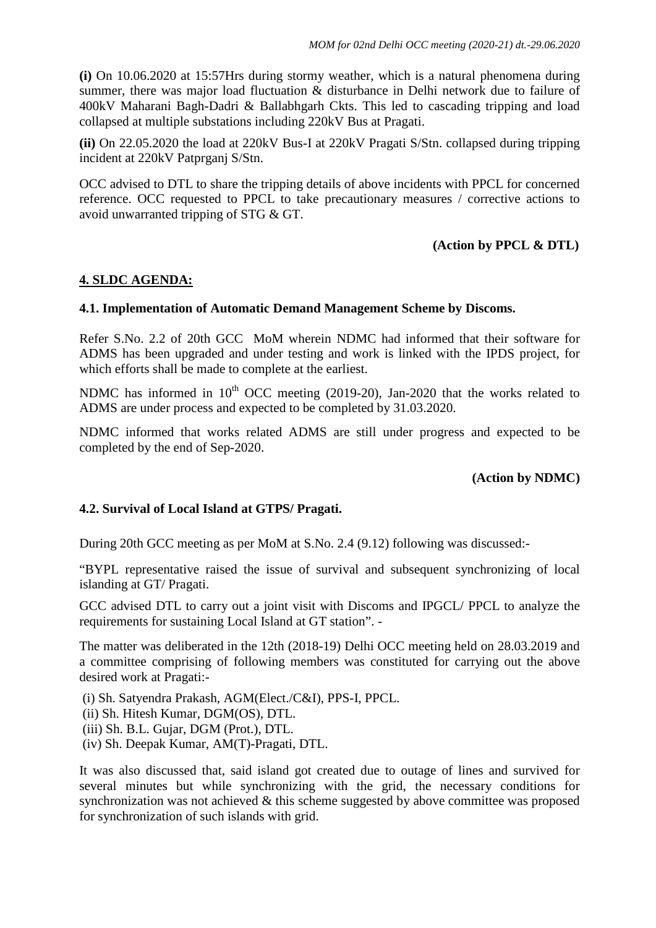**(i)** On 10.06.2020 at 15:57Hrs during stormy weather, which is a natural phenomena during summer, there was major load fluctuation & disturbance in Delhi network due to failure of 400kV Maharani Bagh-Dadri & Ballabhgarh Ckts. This led to cascading tripping and load collapsed at multiple substations including 220kV Bus at Pragati.

**(ii)** On 22.05.2020 the load at 220kV Bus-I at 220kV Pragati S/Stn. collapsed during tripping incident at 220kV Patprganj S/Stn.

OCC advised to DTL to share the tripping details of above incidents with PPCL for concerned reference. OCC requested to PPCL to take precautionary measures / corrective actions to avoid unwarranted tripping of STG & GT.

### **(Action by PPCL & DTL)**

### **4. SLDC AGENDA:**

### **4.1. Implementation of Automatic Demand Management Scheme by Discoms.**

Refer S.No. 2.2 of 20th GCC MoM wherein NDMC had informed that their software for ADMS has been upgraded and under testing and work is linked with the IPDS project, for which efforts shall be made to complete at the earliest.

NDMC has informed in  $10^{th}$  OCC meeting (2019-20), Jan-2020 that the works related to ADMS are under process and expected to be completed by 31.03.2020.

NDMC informed that works related ADMS are still under progress and expected to be completed by the end of Sep-2020.

### **(Action by NDMC)**

### **4.2. Survival of Local Island at GTPS/ Pragati.**

During 20th GCC meeting as per MoM at S.No. 2.4 (9.12) following was discussed:-

"BYPL representative raised the issue of survival and subsequent synchronizing of local islanding at GT/ Pragati.

GCC advised DTL to carry out a joint visit with Discoms and IPGCL/ PPCL to analyze the requirements for sustaining Local Island at GT station". -

The matter was deliberated in the 12th (2018-19) Delhi OCC meeting held on 28.03.2019 and a committee comprising of following members was constituted for carrying out the above desired work at Pragati:-

(i) Sh. Satyendra Prakash, AGM(Elect./C&I), PPS-I, PPCL. (ii) Sh. Hitesh Kumar, DGM(OS), DTL. (iii) Sh. B.L. Gujar, DGM (Prot.), DTL. (iv) Sh. Deepak Kumar, AM(T)-Pragati, DTL.

It was also discussed that, said island got created due to outage of lines and survived for several minutes but while synchronizing with the grid, the necessary conditions for synchronization was not achieved & this scheme suggested by above committee was proposed for synchronization of such islands with grid.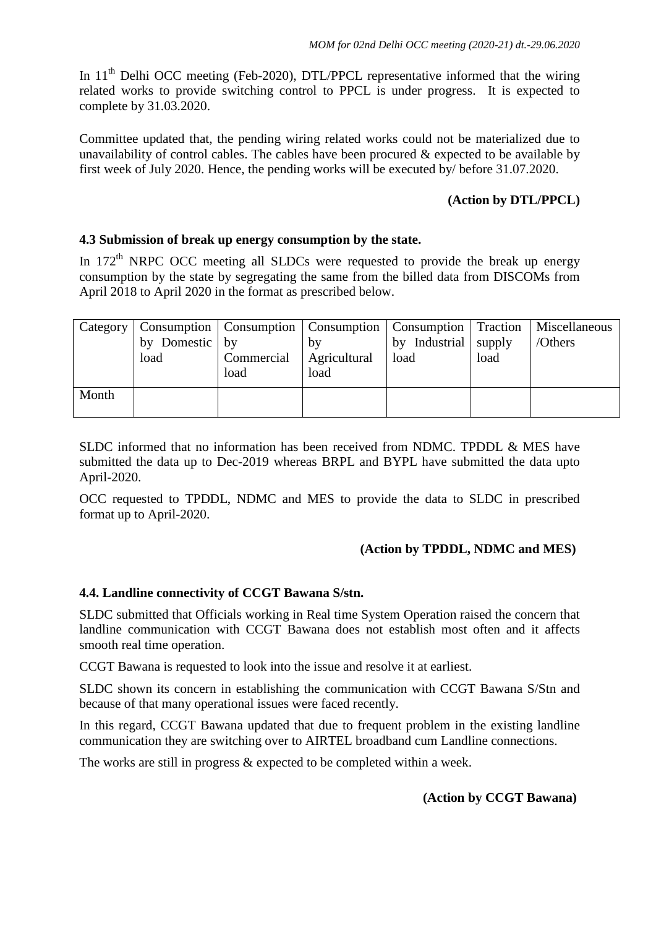In 11<sup>th</sup> Delhi OCC meeting (Feb-2020), DTL/PPCL representative informed that the wiring related works to provide switching control to PPCL is under progress. It is expected to complete by 31.03.2020.

Committee updated that, the pending wiring related works could not be materialized due to unavailability of control cables. The cables have been procured  $\&$  expected to be available by first week of July 2020. Hence, the pending works will be executed by/ before 31.07.2020.

## **(Action by DTL/PPCL)**

### **4.3 Submission of break up energy consumption by the state.**

In  $172<sup>th</sup>$  NRPC OCC meeting all SLDCs were requested to provide the break up energy consumption by the state by segregating the same from the billed data from DISCOMs from April 2018 to April 2020 in the format as prescribed below.

| Category | by Domestic by<br>load | Commercial   Agricultural<br>load | by<br>load | Consumption   Consumption   Consumption   Consumption   Traction   Miscellaneous<br>by Industrial supply<br>load | load | /Others |
|----------|------------------------|-----------------------------------|------------|------------------------------------------------------------------------------------------------------------------|------|---------|
| Month    |                        |                                   |            |                                                                                                                  |      |         |

SLDC informed that no information has been received from NDMC. TPDDL & MES have submitted the data up to Dec-2019 whereas BRPL and BYPL have submitted the data upto April-2020.

OCC requested to TPDDL, NDMC and MES to provide the data to SLDC in prescribed format up to April-2020.

## **(Action by TPDDL, NDMC and MES)**

### **4.4. Landline connectivity of CCGT Bawana S/stn.**

SLDC submitted that Officials working in Real time System Operation raised the concern that landline communication with CCGT Bawana does not establish most often and it affects smooth real time operation.

CCGT Bawana is requested to look into the issue and resolve it at earliest.

SLDC shown its concern in establishing the communication with CCGT Bawana S/Stn and because of that many operational issues were faced recently.

In this regard, CCGT Bawana updated that due to frequent problem in the existing landline communication they are switching over to AIRTEL broadband cum Landline connections.

The works are still in progress & expected to be completed within a week.

### **(Action by CCGT Bawana)**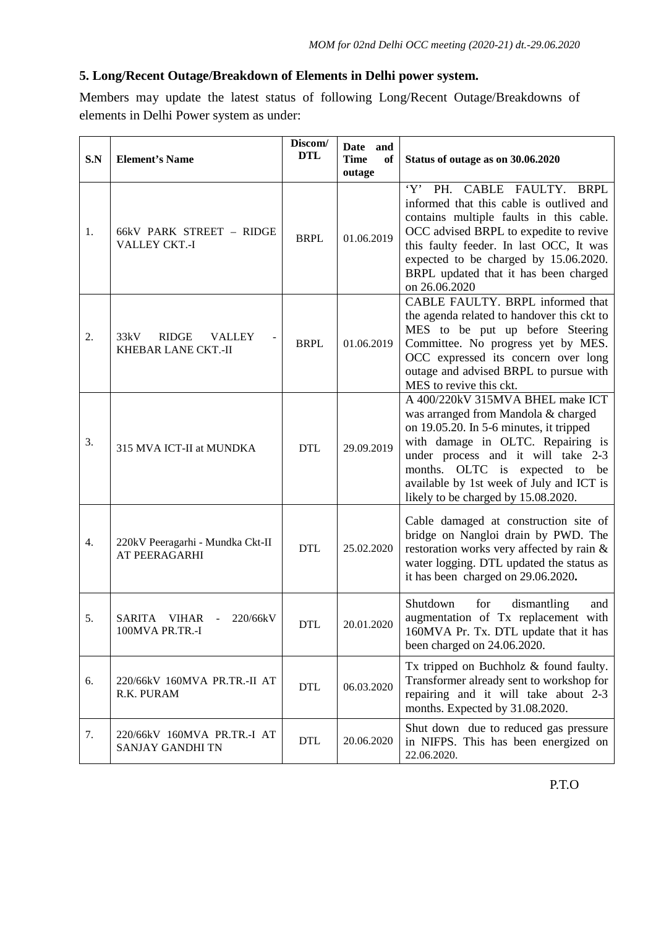## **5. Long/Recent Outage/Breakdown of Elements in Delhi power system.**

Members may update the latest status of following Long/Recent Outage/Breakdowns of elements in Delhi Power system as under:

| S.N | <b>Element's Name</b>                                            | Discom/<br><b>DTL</b> | Date and<br><b>Time</b><br>of<br>outage | Status of outage as on 30.06.2020                                                                                                                                                                                                                                                                                  |
|-----|------------------------------------------------------------------|-----------------------|-----------------------------------------|--------------------------------------------------------------------------------------------------------------------------------------------------------------------------------------------------------------------------------------------------------------------------------------------------------------------|
| 1.  | 66kV PARK STREET - RIDGE<br>VALLEY CKT.-I                        | <b>BRPL</b>           | 01.06.2019                              | Y'<br>PH. CABLE FAULTY. BRPL<br>informed that this cable is outlived and<br>contains multiple faults in this cable.<br>OCC advised BRPL to expedite to revive<br>this faulty feeder. In last OCC, It was<br>expected to be charged by 15.06.2020.<br>BRPL updated that it has been charged<br>on 26.06.2020        |
| 2.  | 33kV<br>RIDGE<br><b>VALLEY</b><br>KHEBAR LANE CKT.-II            | <b>BRPL</b>           | 01.06.2019                              | CABLE FAULTY. BRPL informed that<br>the agenda related to handover this ckt to<br>MES to be put up before Steering<br>Committee. No progress yet by MES.<br>OCC expressed its concern over long<br>outage and advised BRPL to pursue with<br>MES to revive this ckt.                                               |
| 3.  | 315 MVA ICT-II at MUNDKA                                         | <b>DTL</b>            | 29.09.2019                              | A 400/220kV 315MVA BHEL make ICT<br>was arranged from Mandola & charged<br>on 19.05.20. In 5-6 minutes, it tripped<br>with damage in OLTC. Repairing is<br>under process and it will take 2-3<br>months. OLTC is expected to be<br>available by 1st week of July and ICT is<br>likely to be charged by 15.08.2020. |
| 4.  | 220kV Peeragarhi - Mundka Ckt-II<br>AT PEERAGARHI                | <b>DTL</b>            | 25.02.2020                              | Cable damaged at construction site of<br>bridge on Nangloi drain by PWD. The<br>restoration works very affected by rain &<br>water logging. DTL updated the status as<br>it has been charged on 29.06.2020.                                                                                                        |
| 5.  | 220/66kV<br>SARITA<br>VIHAR<br>$\blacksquare$<br>100MVA PR.TR.-I | <b>DTL</b>            | 20.01.2020                              | Shutdown<br>for<br>dismantling<br>and<br>augmentation of Tx replacement with<br>160MVA Pr. Tx. DTL update that it has<br>been charged on 24.06.2020.                                                                                                                                                               |
| 6.  | 220/66kV 160MVA PR.TR.-II AT<br>R.K. PURAM                       | <b>DTL</b>            | 06.03.2020                              | Tx tripped on Buchholz $&$ found faulty.<br>Transformer already sent to workshop for<br>repairing and it will take about 2-3<br>months. Expected by 31.08.2020.                                                                                                                                                    |
| 7.  | 220/66kV 160MVA PR.TR.-I AT<br><b>SANJAY GANDHI TN</b>           | <b>DTL</b>            | 20.06.2020                              | Shut down due to reduced gas pressure<br>in NIFPS. This has been energized on<br>22.06.2020.                                                                                                                                                                                                                       |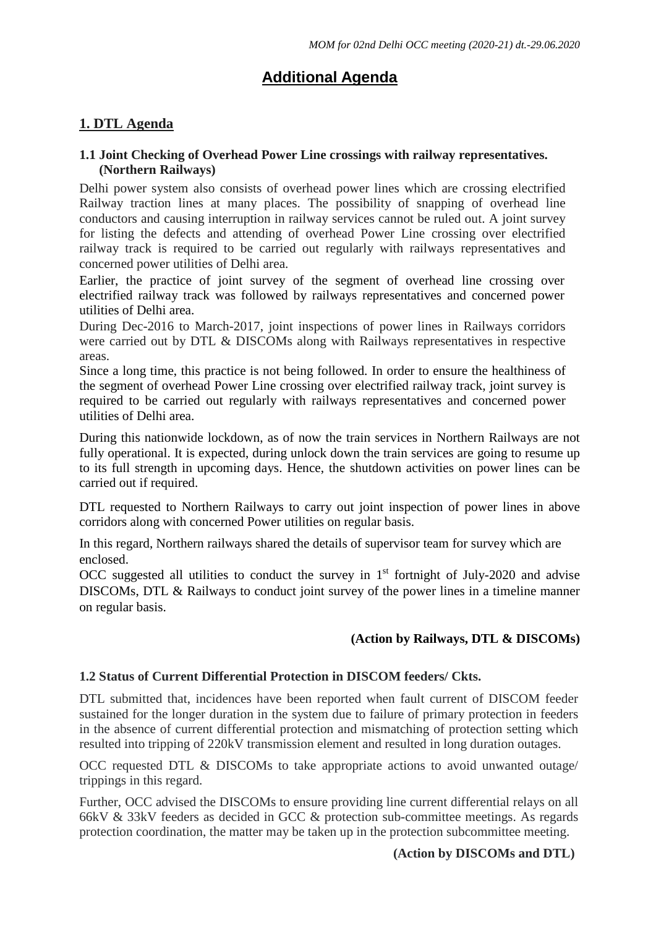# **Additional Agenda**

## **1. DTL Agenda**

### **1.1 Joint Checking of Overhead Power Line crossings with railway representatives. (Northern Railways)**

Delhi power system also consists of overhead power lines which are crossing electrified Railway traction lines at many places. The possibility of snapping of overhead line conductors and causing interruption in railway services cannot be ruled out. A joint survey for listing the defects and attending of overhead Power Line crossing over electrified railway track is required to be carried out regularly with railways representatives and concerned power utilities of Delhi area.

Earlier, the practice of joint survey of the segment of overhead line crossing over electrified railway track was followed by railways representatives and concerned power utilities of Delhi area.

During Dec-2016 to March-2017, joint inspections of power lines in Railways corridors were carried out by DTL & DISCOMs along with Railways representatives in respective areas.

Since a long time, this practice is not being followed. In order to ensure the healthiness of the segment of overhead Power Line crossing over electrified railway track, joint survey is required to be carried out regularly with railways representatives and concerned power utilities of Delhi area.

During this nationwide lockdown, as of now the train services in Northern Railways are not fully operational. It is expected, during unlock down the train services are going to resume up to its full strength in upcoming days. Hence, the shutdown activities on power lines can be carried out if required.

DTL requested to Northern Railways to carry out joint inspection of power lines in above corridors along with concerned Power utilities on regular basis.

In this regard, Northern railways shared the details of supervisor team for survey which are enclosed.

OCC suggested all utilities to conduct the survey in  $1<sup>st</sup>$  fortnight of July-2020 and advise DISCOMs, DTL & Railways to conduct joint survey of the power lines in a timeline manner on regular basis.

## **(Action by Railways, DTL & DISCOMs)**

### **1.2 Status of Current Differential Protection in DISCOM feeders/ Ckts.**

DTL submitted that, incidences have been reported when fault current of DISCOM feeder sustained for the longer duration in the system due to failure of primary protection in feeders in the absence of current differential protection and mismatching of protection setting which resulted into tripping of 220kV transmission element and resulted in long duration outages.

OCC requested DTL & DISCOMs to take appropriate actions to avoid unwanted outage/ trippings in this regard.

Further, OCC advised the DISCOMs to ensure providing line current differential relays on all 66kV & 33kV feeders as decided in GCC & protection sub-committee meetings. As regards protection coordination, the matter may be taken up in the protection subcommittee meeting.

### **(Action by DISCOMs and DTL)**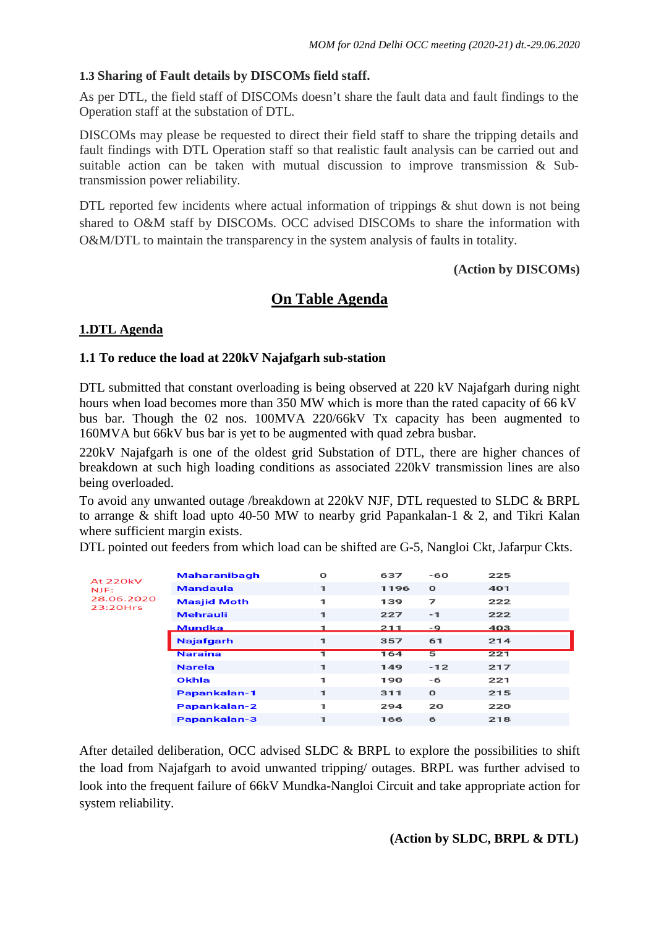### **1.3 Sharing of Fault details by DISCOMs field staff.**

As per DTL, the field staff of DISCOMs doesn't share the fault data and fault findings to the Operation staff at the substation of DTL.

DISCOMs may please be requested to direct their field staff to share the tripping details and fault findings with DTL Operation staff so that realistic fault analysis can be carried out and suitable action can be taken with mutual discussion to improve transmission & Subtransmission power reliability.

DTL reported few incidents where actual information of trippings  $\&$  shut down is not being shared to O&M staff by DISCOMs. OCC advised DISCOMs to share the information with O&M/DTL to maintain the transparency in the system analysis of faults in totality.

### **(Action by DISCOMs)**

## **On Table Agenda**

## **1.DTL Agenda**

### **1.1 To reduce the load at 220kV Najafgarh sub-station**

DTL submitted that constant overloading is being observed at 220 kV Najafgarh during night hours when load becomes more than 350 MW which is more than the rated capacity of 66 kV bus bar. Though the 02 nos. 100MVA 220/66kV Tx capacity has been augmented to 160MVA but 66kV bus bar is yet to be augmented with quad zebra busbar.

220kV Najafgarh is one of the oldest grid Substation of DTL, there are higher chances of breakdown at such high loading conditions as associated 220kV transmission lines are also being overloaded.

To avoid any unwanted outage /breakdown at 220kV NJF, DTL requested to SLDC & BRPL to arrange & shift load upto 40-50 MW to nearby grid Papankalan-1 & 2, and Tikri Kalan where sufficient margin exists.

DTL pointed out feeders from which load can be shifted are G-5, Nangloi Ckt, Jafarpur Ckts.

| At 220kV   | <b>Maharanibagh</b> | O            | 637  | -60          | 225 |  |
|------------|---------------------|--------------|------|--------------|-----|--|
| NJE:       | <b>Mandaula</b>     | $\mathbf{I}$ | 1196 | $\mathbf{o}$ | 401 |  |
| 28.06.2020 | <b>Masjid Moth</b>  | 1            | 139  | 7            | 222 |  |
| 23:20Hrs   | <b>Mehrauli</b>     | 1            | 227  | $-1$         | 222 |  |
|            | Mundka              |              | 211  | -9           | 403 |  |
|            | <b>Najafgarh</b>    | 1            | 357  | 61           | 214 |  |
|            | <b>Naraina</b>      |              | 164  | 5            | 221 |  |
|            | <b>Narela</b>       | 1            | 149  | $-12$        | 217 |  |
|            | Okhla               | 1            | 190  | -6           | 221 |  |
|            | <b>Papankalan-1</b> | $\mathbf 1$  | 311  | $\mathbf o$  | 215 |  |
|            | <b>Papankalan-2</b> | 1            | 294  | 20           | 220 |  |
|            |                     |              |      |              |     |  |

After detailed deliberation, OCC advised SLDC & BRPL to explore the possibilities to shift the load from Najafgarh to avoid unwanted tripping/ outages. BRPL was further advised to look into the frequent failure of 66kV Mundka-Nangloi Circuit and take appropriate action for system reliability.

 **(Action by SLDC, BRPL & DTL)**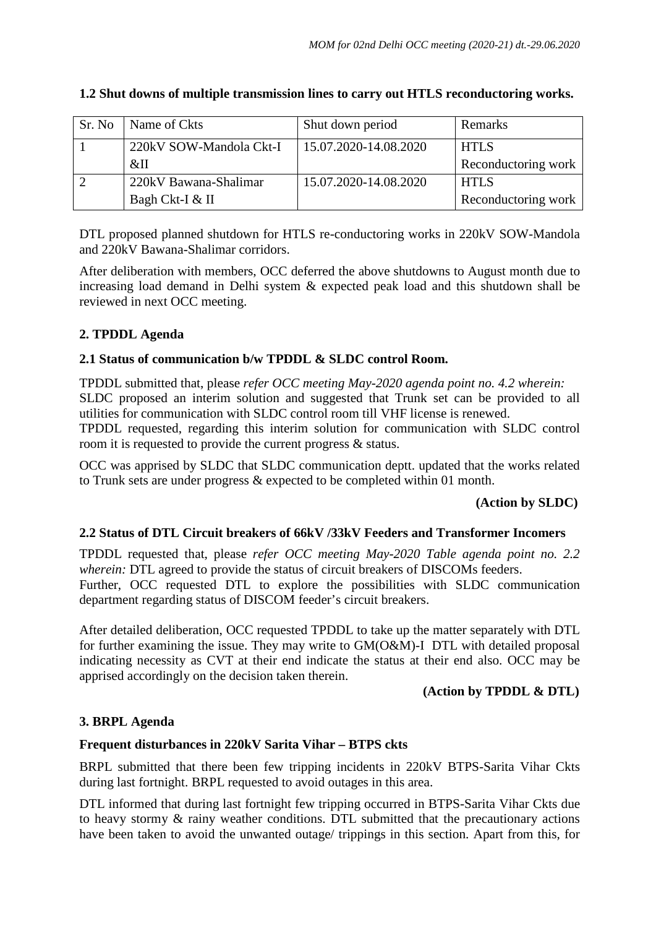| Sr. No | Name of Ckts            | Shut down period      | Remarks             |
|--------|-------------------------|-----------------------|---------------------|
|        | 220kV SOW-Mandola Ckt-I | 15.07.2020-14.08.2020 | <b>HTLS</b>         |
|        | &II                     |                       | Reconductoring work |
|        | 220kV Bawana-Shalimar   | 15.07.2020-14.08.2020 | <b>HTLS</b>         |
|        | Bagh Ckt-I & II         |                       | Reconductoring work |

## **1.2 Shut downs of multiple transmission lines to carry out HTLS reconductoring works.**

DTL proposed planned shutdown for HTLS re-conductoring works in 220kV SOW-Mandola and 220kV Bawana-Shalimar corridors.

After deliberation with members, OCC deferred the above shutdowns to August month due to increasing load demand in Delhi system & expected peak load and this shutdown shall be reviewed in next OCC meeting.

## **2. TPDDL Agenda**

## **2.1 Status of communication b/w TPDDL & SLDC control Room.**

TPDDL submitted that, please *refer OCC meeting May-2020 agenda point no. 4.2 wherein:* SLDC proposed an interim solution and suggested that Trunk set can be provided to all utilities for communication with SLDC control room till VHF license is renewed. TPDDL requested, regarding this interim solution for communication with SLDC control

room it is requested to provide the current progress & status.

OCC was apprised by SLDC that SLDC communication deptt. updated that the works related to Trunk sets are under progress & expected to be completed within 01 month.

### **(Action by SLDC)**

### **2.2 Status of DTL Circuit breakers of 66kV /33kV Feeders and Transformer Incomers**

TPDDL requested that, please *refer OCC meeting May-2020 Table agenda point no. 2.2 wherein:* DTL agreed to provide the status of circuit breakers of DISCOMs feeders. Further, OCC requested DTL to explore the possibilities with SLDC communication department regarding status of DISCOM feeder's circuit breakers.

After detailed deliberation, OCC requested TPDDL to take up the matter separately with DTL for further examining the issue. They may write to GM(O&M)-I DTL with detailed proposal indicating necessity as CVT at their end indicate the status at their end also. OCC may be apprised accordingly on the decision taken therein.

## **(Action by TPDDL & DTL)**

## **3. BRPL Agenda**

### **Frequent disturbances in 220kV Sarita Vihar – BTPS ckts**

BRPL submitted that there been few tripping incidents in 220kV BTPS-Sarita Vihar Ckts during last fortnight. BRPL requested to avoid outages in this area.

DTL informed that during last fortnight few tripping occurred in BTPS-Sarita Vihar Ckts due to heavy stormy & rainy weather conditions. DTL submitted that the precautionary actions have been taken to avoid the unwanted outage/ trippings in this section. Apart from this, for